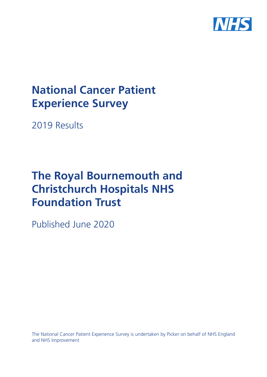

# **National Cancer Patient Experience Survey**

2019 Results

# **The Royal Bournemouth and Christchurch Hospitals NHS Foundation Trust**

Published June 2020

The National Cancer Patient Experience Survey is undertaken by Picker on behalf of NHS England and NHS Improvement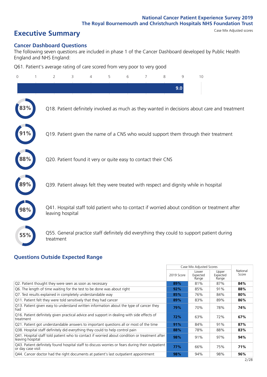# **Executive Summary** Case Mix Adjusted scores

### **Cancer Dashboard Questions**

The following seven questions are included in phase 1 of the Cancer Dashboard developed by Public Health England and NHS England:

Q61. Patient's average rating of care scored from very poor to very good

| $\Omega$ | 2                                                             | 3 | 4 | 5 | 6 | 8 | 9   | 10                                                                                            |                                                                                               |
|----------|---------------------------------------------------------------|---|---|---|---|---|-----|-----------------------------------------------------------------------------------------------|-----------------------------------------------------------------------------------------------|
|          |                                                               |   |   |   |   |   | 9.0 |                                                                                               |                                                                                               |
|          |                                                               |   |   |   |   |   |     |                                                                                               | Q18. Patient definitely involved as much as they wanted in decisions about care and treatment |
|          |                                                               |   |   |   |   |   |     | Q19. Patient given the name of a CNS who would support them through their treatment           |                                                                                               |
| 88%      | Q20. Patient found it very or quite easy to contact their CNS |   |   |   |   |   |     |                                                                                               |                                                                                               |
|          |                                                               |   |   |   |   |   |     | Q39. Patient always felt they were treated with respect and dignity while in hospital         |                                                                                               |
|          | leaving hospital                                              |   |   |   |   |   |     | Q41. Hospital staff told patient who to contact if worried about condition or treatment after |                                                                                               |
| 55%      | treatment                                                     |   |   |   |   |   |     | Q55. General practice staff definitely did everything they could to support patient during    |                                                                                               |

### **Questions Outside Expected Range**

|                                                                                                                       |            | Case Mix Adjusted Scores   |                            |                   |
|-----------------------------------------------------------------------------------------------------------------------|------------|----------------------------|----------------------------|-------------------|
|                                                                                                                       | 2019 Score | Lower<br>Expected<br>Range | Upper<br>Expected<br>Range | National<br>Score |
| Q2. Patient thought they were seen as soon as necessary                                                               | 89%        | 81%                        | 87%                        | 84%               |
| Q6. The length of time waiting for the test to be done was about right                                                | 92%        | 85%                        | 91%                        | 88%               |
| Q7. Test results explained in completely understandable way                                                           | 85%        | 76%                        | 84%                        | 80%               |
| Q11. Patient felt they were told sensitively that they had cancer                                                     | 89%        | 83%                        | 89%                        | 86%               |
| Q13. Patient given easy to understand written information about the type of cancer they<br>had                        | 79%        | 70%                        | 78%                        | 74%               |
| Q16. Patient definitely given practical advice and support in dealing with side effects of<br>treatment               | 72%        | 63%                        | 72%                        | 67%               |
| Q21. Patient got understandable answers to important questions all or most of the time                                | 91%        | 84%                        | 91%                        | 87%               |
| Q38. Hospital staff definitely did everything they could to help control pain                                         | 88%        | 78%                        | 88%                        | 83%               |
| Q41. Hospital staff told patient who to contact if worried about condition or treatment after<br>leaving hospital     | 98%        | 91%                        | 97%                        | 94%               |
| Q43. Patient definitely found hospital staff to discuss worries or fears during their outpatient<br>or day case visit | 77%        | 66%                        | 75%                        | 71%               |
| Q44. Cancer doctor had the right documents at patient's last outpatient appointment                                   | 98%        | 94%                        | 98%                        | 96%               |
|                                                                                                                       |            |                            |                            |                   |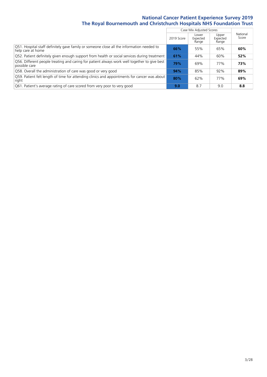|                                                                                                                |            | Case Mix Adjusted Scores   |                            |                   |
|----------------------------------------------------------------------------------------------------------------|------------|----------------------------|----------------------------|-------------------|
|                                                                                                                | 2019 Score | Lower<br>Expected<br>Range | Upper<br>Expected<br>Range | National<br>Score |
| Q51. Hospital staff definitely gave family or someone close all the information needed to<br>help care at home | 66%        | 55%                        | 65%                        | 60%               |
| Q52. Patient definitely given enough support from health or social services during treatment                   | 61%        | 44%                        | 60%                        | 52%               |
| Q56. Different people treating and caring for patient always work well together to give best<br>possible care  | 79%        | 69%                        | 77%                        | 73%               |
| Q58. Overall the administration of care was good or very good                                                  | 94%        | 85%                        | 92%                        | 89%               |
| Q59. Patient felt length of time for attending clinics and appointments for cancer was about<br>right          | 80%        | 62%                        | 77%                        | 69%               |
| Q61. Patient's average rating of care scored from very poor to very good                                       | 9.0        | 8.7                        | 9.0                        | 8.8               |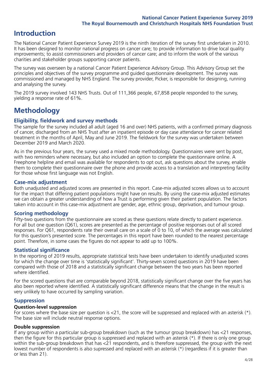### **Introduction**

The National Cancer Patient Experience Survey 2019 is the ninth iteration of the survey first undertaken in 2010. It has been designed to monitor national progress on cancer care; to provide information to drive local quality improvements; to assist commissioners and providers of cancer care; and to inform the work of the various charities and stakeholder groups supporting cancer patients.

The survey was overseen by a national Cancer Patient Experience Advisory Group. This Advisory Group set the principles and objectives of the survey programme and guided questionnaire development. The survey was commissioned and managed by NHS England. The survey provider, Picker, is responsible for designing, running and analysing the survey.

The 2019 survey involved 143 NHS Trusts. Out of 111,366 people, 67,858 people responded to the survey, yielding a response rate of 61%.

## **Methodology**

### **Eligibility, fieldwork and survey methods**

The sample for the survey included all adult (aged 16 and over) NHS patients, with a confirmed primary diagnosis of cancer, discharged from an NHS Trust after an inpatient episode or day case attendance for cancer related treatment in the months of April, May and June 2019. The fieldwork for the survey was undertaken between December 2019 and March 2020.

As in the previous four years, the survey used a mixed mode methodology. Questionnaires were sent by post, with two reminders where necessary, but also included an option to complete the questionnaire online. A Freephone helpline and email was available for respondents to opt out, ask questions about the survey, enable them to complete their questionnaire over the phone and provide access to a translation and interpreting facility for those whose first language was not English.

### **Case-mix adjustment**

Both unadjusted and adjusted scores are presented in this report. Case-mix adjusted scores allows us to account for the impact that differing patient populations might have on results. By using the case-mix adjusted estimates we can obtain a greater understanding of how a Trust is performing given their patient population. The factors taken into account in this case-mix adjustment are gender, age, ethnic group, deprivation, and tumour group.

### **Scoring methodology**

Fifty-two questions from the questionnaire are scored as these questions relate directly to patient experience. For all but one question (Q61), scores are presented as the percentage of positive responses out of all scored responses. For Q61, respondents rate their overall care on a scale of 0 to 10, of which the average was calculated for this question's presented score. The percentages in this report have been rounded to the nearest percentage point. Therefore, in some cases the figures do not appear to add up to 100%.

### **Statistical significance**

In the reporting of 2019 results, appropriate statistical tests have been undertaken to identify unadjusted scores for which the change over time is 'statistically significant'. Thirty-seven scored questions in 2019 have been compared with those of 2018 and a statistically significant change between the two years has been reported where identified.

For the scored questions that are comparable beyond 2018, statistically significant change over the five years has also been reported where identified. A statistically significant difference means that the change in the result is very unlikely to have occurred by sampling variation.

### **Suppression**

#### **Question-level suppression**

For scores where the base size per question is  $<$ 21, the score will be suppressed and replaced with an asterisk (\*). The base size will include neutral response options.

### **Double suppression**

If any group within a particular sub-group breakdown (such as the tumour group breakdown) has <21 responses, then the figure for this particular group is suppressed and replaced with an asterisk (\*). If there is only one group within the sub-group breakdown that has <21 respondents, and is therefore suppressed, the group with the next lowest number of respondents is also supressed and replaced with an asterisk (\*) (regardless if it is greater than or less than 21).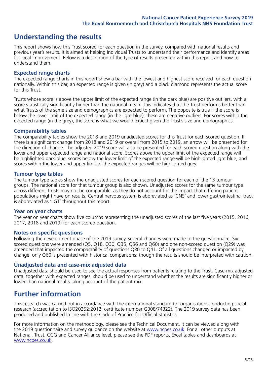### **Understanding the results**

This report shows how this Trust scored for each question in the survey, compared with national results and previous year's results. It is aimed at helping individual Trusts to understand their performance and identify areas for local improvement. Below is a description of the type of results presented within this report and how to understand them.

#### **Expected range charts**

The expected range charts in this report show a bar with the lowest and highest score received for each question nationally. Within this bar, an expected range is given (in grey) and a black diamond represents the actual score for this Trust.

Trusts whose score is above the upper limit of the expected range (in the dark blue) are positive outliers, with a score statistically significantly higher than the national mean. This indicates that the Trust performs better than what Trusts of the same size and demographics are expected to perform. The opposite is true if the score is below the lower limit of the expected range (in the light blue); these are negative outliers. For scores within the expected range (in the grey), the score is what we would expect given the Trust's size and demographics.

#### **Comparability tables**

The comparability tables show the 2018 and 2019 unadjusted scores for this Trust for each scored question. If there is a significant change from 2018 and 2019 or overall from 2015 to 2019, an arrow will be presented for the direction of change. The adjusted 2019 score will also be presented for each scored question along with the lower and upper expected range and national score. Scores above the upper limit of the expected range will be highlighted dark blue, scores below the lower limit of the expected range will be highlighted light blue, and scores within the lower and upper limit of the expected ranges will be highlighted grey.

### **Tumour type tables**

The tumour type tables show the unadjusted scores for each scored question for each of the 13 tumour groups. The national score for that tumour group is also shown. Unadjusted scores for the same tumour type across different Trusts may not be comparable, as they do not account for the impact that differing patient populations might have on results. Central nervous system is abbreviated as 'CNS' and lower gastrointestinal tract is abbreviated as 'LGT' throughout this report.

#### **Year on year charts**

The year on year charts show five columns representing the unadjusted scores of the last five years (2015, 2016, 2017, 2018 and 2019) for each scored question.

#### **Notes on specific questions**

Following the development phase of the 2019 survey, several changes were made to the questionnaire. Six scored questions were amended (Q5, Q18, Q30, Q35, Q56 and Q60) and one non-scored question (Q29) was amended that impacted the comparability of questions Q30 to Q41. Of all questions changed or impacted by change, only Q60 is presented with historical comparisons; though the results should be interpreted with caution.

#### **Unadjusted data and case-mix adjusted data**

Unadjusted data should be used to see the actual responses from patients relating to the Trust. Case-mix adjusted data, together with expected ranges, should be used to understand whether the results are significantly higher or lower than national results taking account of the patient mix.

### **Further information**

This research was carried out in accordance with the international standard for organisations conducting social research (accreditation to ISO20252:2012; certificate number GB08/74322). The 2019 survey data has been produced and published in line with the Code of Practice for Official Statistics.

For more information on the methodology, please see the Technical Document. It can be viewed along with the 2019 questionnaire and survey quidance on the website at [www.ncpes.co.uk](https://www.ncpes.co.uk/supporting-documents). For all other outputs at National, Trust, CCG and Cancer Alliance level, please see the PDF reports, Excel tables and dashboards at [www.ncpes.co.uk.](https://www.ncpes.co.uk/current-results)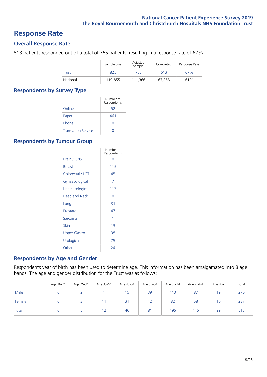### **Response Rate**

### **Overall Response Rate**

513 patients responded out of a total of 765 patients, resulting in a response rate of 67%.

|              | Sample Size | Adjusted<br>Sample | Completed | Response Rate |
|--------------|-------------|--------------------|-----------|---------------|
| <b>Trust</b> | 825         | 765                | 513       | 67%           |
| National     | 119,855     | 111,366            | 67.858    | 61%           |

### **Respondents by Survey Type**

|                            | Number of<br>Respondents |
|----------------------------|--------------------------|
| Online                     | 52                       |
| Paper                      | 461                      |
| Phone                      |                          |
| <b>Translation Service</b> |                          |

### **Respondents by Tumour Group**

|                      | Number of<br>Respondents |
|----------------------|--------------------------|
| Brain / CNS          | ∩                        |
| <b>Breast</b>        | 115                      |
| Colorectal / LGT     | 45                       |
| Gynaecological       | 7                        |
| Haematological       | 117                      |
| <b>Head and Neck</b> | U                        |
| Lung                 | 31                       |
| Prostate             | 47                       |
| Sarcoma              | 1                        |
| Skin                 | 1 <sub>3</sub>           |
| <b>Upper Gastro</b>  | 38                       |
| Urological           | 75                       |
| Other                | 24                       |

### **Respondents by Age and Gender**

Respondents year of birth has been used to determine age. This information has been amalgamated into 8 age bands. The age and gender distribution for the Trust was as follows:

|        | Age 16-24 | Age 25-34 | Age 35-44 | Age 45-54 | Age 55-64 | Age 65-74 | Age 75-84 | Age 85+ | Total |
|--------|-----------|-----------|-----------|-----------|-----------|-----------|-----------|---------|-------|
| Male   |           |           |           | 15        | 39        | 113       | 87        | 19      | 276   |
| Female |           |           |           | 21<br>ا ت | 42        | 82        | 58        | 10      | 237   |
| Total  |           |           | 12        | 46        | 81        | 195       | 145       | 29      | 513   |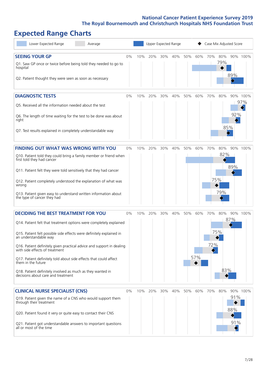# **Expected Range Charts**

| Lower Expected Range<br>Average                                                                                                                                                                                                                                                                                                                                                                                                                                                                                             |    |     | <b>Upper Expected Range</b> |     |     |     |            |            |                          | Case Mix Adjusted Score |                 |
|-----------------------------------------------------------------------------------------------------------------------------------------------------------------------------------------------------------------------------------------------------------------------------------------------------------------------------------------------------------------------------------------------------------------------------------------------------------------------------------------------------------------------------|----|-----|-----------------------------|-----|-----|-----|------------|------------|--------------------------|-------------------------|-----------------|
| <b>SEEING YOUR GP</b><br>Q1. Saw GP once or twice before being told they needed to go to<br>hospital<br>Q2. Patient thought they were seen as soon as necessary                                                                                                                                                                                                                                                                                                                                                             | 0% | 10% | 20%                         | 30% | 40% | 50% | 60%        | 70%        | 80%<br>79%               | 89%                     | 90% 100%        |
| <b>DIAGNOSTIC TESTS</b><br>Q5. Received all the information needed about the test<br>Q6. The length of time waiting for the test to be done was about<br>right<br>Q7. Test results explained in completely understandable way                                                                                                                                                                                                                                                                                               | 0% | 10% | 20%                         | 30% | 40% | 50% | 60%        | 70%        | 80%<br>85%               | 92%                     | 90% 100%<br>97% |
| <b>FINDING OUT WHAT WAS WRONG WITH YOU</b><br>Q10. Patient told they could bring a family member or friend when<br>first told they had cancer<br>Q11. Patient felt they were told sensitively that they had cancer<br>Q12. Patient completely understood the explanation of what was<br>wrong<br>Q13. Patient given easy to understand written information about<br>the type of cancer they had                                                                                                                             | 0% | 10% | 20%                         | 30% | 40% | 50% | 60%        | 70%        | 80%<br>82%<br>75%<br>79% | 89%                     | 90% 100%        |
| <b>DECIDING THE BEST TREATMENT FOR YOU</b><br>Q14. Patient felt that treatment options were completely explained<br>Q15. Patient felt possible side effects were definitely explained in<br>an understandable way<br>Q16. Patient definitely given practical advice and support in dealing<br>with side effects of treatment<br>Q17. Patient definitely told about side effects that could affect<br>them in the future<br>Q18. Patient definitely involved as much as they wanted in<br>decisions about care and treatment | 0% | 10% | 20%                         | 30% | 40% | 50% | 60%<br>57% | 70%<br>72% | 80%<br>75%<br>83%        | 87%                     | 90% 100%        |
| <b>CLINICAL NURSE SPECIALIST (CNS)</b><br>Q19. Patient given the name of a CNS who would support them<br>through their treatment<br>Q20. Patient found it very or quite easy to contact their CNS<br>Q21. Patient got understandable answers to important questions<br>all or most of the time                                                                                                                                                                                                                              | 0% | 10% | 20%                         | 30% | 40% | 50% | 60%        | 70%        | 80%                      | 91%<br>88%<br>91%       | 90% 100%        |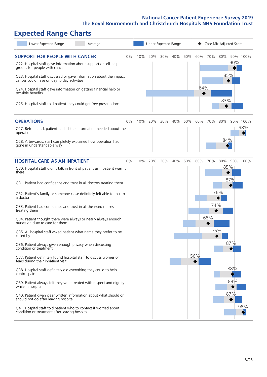# **Expected Range Charts**

| Lower Expected Range<br>Average                                                                                   |    | Upper Expected Range |     |     |     |     |     |     | Case Mix Adjusted Score |     |          |
|-------------------------------------------------------------------------------------------------------------------|----|----------------------|-----|-----|-----|-----|-----|-----|-------------------------|-----|----------|
| <b>SUPPORT FOR PEOPLE WITH CANCER</b>                                                                             | 0% | 10%                  | 20% | 30% | 40% | 50% | 60% | 70% | 80%                     |     | 90% 100% |
| Q22. Hospital staff gave information about support or self-help<br>groups for people with cancer                  |    |                      |     |     |     |     |     |     |                         | 90% |          |
| Q23. Hospital staff discussed or gave information about the impact<br>cancer could have on day to day activities  |    |                      |     |     |     |     |     |     |                         | 85% |          |
| Q24. Hospital staff gave information on getting financial help or<br>possible benefits                            |    |                      |     |     |     |     | 64% |     |                         |     |          |
| Q25. Hospital staff told patient they could get free prescriptions                                                |    |                      |     |     |     |     |     |     | 83%                     |     |          |
| <b>OPERATIONS</b>                                                                                                 | 0% | 10%                  | 20% | 30% | 40% | 50% | 60% | 70% | 80%                     |     | 90% 100% |
| Q27. Beforehand, patient had all the information needed about the<br>operation                                    |    |                      |     |     |     |     |     |     |                         |     | 98%      |
| Q28. Afterwards, staff completely explained how operation had<br>gone in understandable way                       |    |                      |     |     |     |     |     |     | 84%                     |     |          |
| <b>HOSPITAL CARE AS AN INPATIENT</b>                                                                              | 0% | 10%                  | 20% | 30% | 40% | 50% | 60% | 70% | 80%                     |     | 90% 100% |
| Q30. Hospital staff didn't talk in front of patient as if patient wasn't<br>there                                 |    |                      |     |     |     |     |     |     |                         | 85% |          |
| Q31. Patient had confidence and trust in all doctors treating them                                                |    |                      |     |     |     |     |     |     |                         | 87% |          |
| Q32. Patient's family or someone close definitely felt able to talk to<br>a doctor                                |    |                      |     |     |     |     |     |     | 76%                     |     |          |
| Q33. Patient had confidence and trust in all the ward nurses<br>treating them                                     |    |                      |     |     |     |     |     | 74% |                         |     |          |
| Q34. Patient thought there were always or nearly always enough<br>nurses on duty to care for them                 |    |                      |     |     |     |     |     | 68% |                         |     |          |
| Q35. All hospital staff asked patient what name they prefer to be<br>called by                                    |    |                      |     |     |     |     |     | 75% |                         |     |          |
| Q36. Patient always given enough privacy when discussing<br>condition or treatment                                |    |                      |     |     |     |     |     |     |                         | 87% |          |
| Q37. Patient definitely found hospital staff to discuss worries or<br>fears during their inpatient visit          |    |                      |     |     |     |     | 56% |     |                         |     |          |
| Q38. Hospital staff definitely did everything they could to help<br>control pain                                  |    |                      |     |     |     |     |     |     |                         | 88% |          |
| Q39. Patient always felt they were treated with respect and dignity<br>while in hospital                          |    |                      |     |     |     |     |     |     |                         | 89% |          |
| Q40. Patient given clear written information about what should or<br>should not do after leaving hospital         |    |                      |     |     |     |     |     |     |                         | 87% |          |
| Q41. Hospital staff told patient who to contact if worried about<br>condition or treatment after leaving hospital |    |                      |     |     |     |     |     |     |                         |     | 98%      |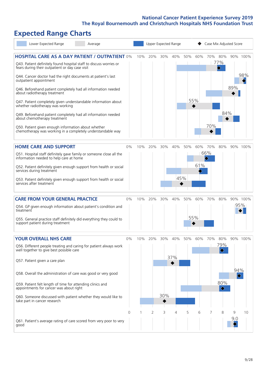# **Expected Range Charts**

| Lower Expected Range<br>Average                                                                                                                                                                                                                                                                                                                                                                                                                                                                                                                                                                                                                                                                        |       |     |                | Upper Expected Range |            |     | Case Mix Adjusted Score |            |                                                      |          |                 |  |  |
|--------------------------------------------------------------------------------------------------------------------------------------------------------------------------------------------------------------------------------------------------------------------------------------------------------------------------------------------------------------------------------------------------------------------------------------------------------------------------------------------------------------------------------------------------------------------------------------------------------------------------------------------------------------------------------------------------------|-------|-----|----------------|----------------------|------------|-----|-------------------------|------------|------------------------------------------------------|----------|-----------------|--|--|
| <b>HOSPITAL CARE AS A DAY PATIENT / OUTPATIENT 0%</b><br>Q43. Patient definitely found hospital staff to discuss worries or<br>fears during their outpatient or day case visit<br>Q44. Cancer doctor had the right documents at patient's last<br>outpatient appointment<br>Q46. Beforehand patient completely had all information needed<br>about radiotherapy treatment<br>Q47. Patient completely given understandable information about<br>whether radiotherapy was working<br>Q49. Beforehand patient completely had all information needed<br>about chemotherapy treatment<br>Q50. Patient given enough information about whether<br>chemotherapy was working in a completely understandable way |       | 10% | 20%            | 30%                  | 40%        | 50% | 60%<br>55%              | 70%        | 70% 80%<br>77%<br>$\color{blue}\blacklozenge$<br>84% | 89%      | 90% 100%<br>98% |  |  |
| <b>HOME CARE AND SUPPORT</b><br>Q51. Hospital staff definitely gave family or someone close all the<br>information needed to help care at home<br>Q52. Patient definitely given enough support from health or social<br>services during treatment<br>Q53. Patient definitely given enough support from health or social<br>services after treatment                                                                                                                                                                                                                                                                                                                                                    | 0%    | 10% | 20%            | 30%                  | 40%<br>45% | 50% | 60%<br>61%              | 70%<br>66% | 80%                                                  |          | 90% 100%        |  |  |
| <b>CARE FROM YOUR GENERAL PRACTICE</b><br>Q54. GP given enough information about patient's condition and<br>treatment<br>Q55. General practice staff definitely did everything they could to<br>support patient during treatment                                                                                                                                                                                                                                                                                                                                                                                                                                                                       | 0%    | 10% | 20%            | 30%                  | 40%        | 50% | 60%<br>55%              | 70%        | 80%                                                  |          | 90% 100%<br>95% |  |  |
| <b>YOUR OVERALL NHS CARE</b><br>Q56. Different people treating and caring for patient always work<br>well together to give best possible care<br>Q57. Patient given a care plan<br>Q58. Overall the administration of care was good or very good<br>Q59. Patient felt length of time for attending clinics and<br>appointments for cancer was about right<br>Q60. Someone discussed with patient whether they would like to<br>take part in cancer research                                                                                                                                                                                                                                            | $0\%$ | 10% | 20%            | 30%<br>30%           | 40%<br>37% | 50% | 60%                     | 70%        | 80%<br>79%<br>80%<br>$\Diamond$                      | 94%<br>♦ | 90% 100%        |  |  |
| Q61. Patient's average rating of care scored from very poor to very<br>good                                                                                                                                                                                                                                                                                                                                                                                                                                                                                                                                                                                                                            | 0     |     | $\overline{2}$ | 3                    | 4          | 5   | 6                       | 7          | 8                                                    | 9<br>9.0 | 10              |  |  |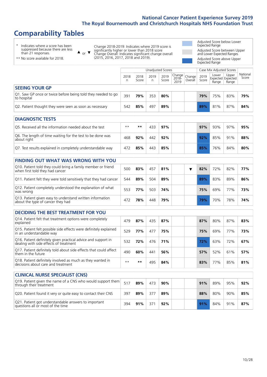## **Comparability Tables**

\* Indicates where a score has been suppressed because there are less than 21 responses.

 $\triangle$  or  $\nabla$ Change 2018-2019: Indicates where 2019 score is significantly higher or lower than 2018 score Change Overall: Indicates significant change overall (2015, 2016, 2017, 2018 and 2019).

 $\mathbb{R}$ 

Adjusted Score below Lower Expected Range Adjusted Score between Upper and Lower Expected Ranges Adjusted Score above Upper Expected Range

\*\* No score available for 2018.

|                                                                                                         |              |               |            | <b>Unadjusted Scores</b> |                         |                   | Case Mix Adjusted Scores |                |                                     |                   |  |
|---------------------------------------------------------------------------------------------------------|--------------|---------------|------------|--------------------------|-------------------------|-------------------|--------------------------|----------------|-------------------------------------|-------------------|--|
|                                                                                                         | 2018<br>n    | 2018<br>Score | 2019<br>n. | 2019<br>Score            | Change<br>2018-<br>2019 | Change<br>Overall | 2019<br>Score            | Lower<br>Range | Upper<br>Expected Expected<br>Range | National<br>Score |  |
| <b>SEEING YOUR GP</b>                                                                                   |              |               |            |                          |                         |                   |                          |                |                                     |                   |  |
| Q1. Saw GP once or twice before being told they needed to go<br>to hospital                             | 391          | 79%           | 353        | 80%                      |                         |                   | 79%                      | 75%            | 83%                                 | 79%               |  |
| Q2. Patient thought they were seen as soon as necessary                                                 | 542          | 85%           | 497        | 89%                      |                         |                   | 89%                      | 81%            | 87%                                 | 84%               |  |
| <b>DIAGNOSTIC TESTS</b>                                                                                 |              |               |            |                          |                         |                   |                          |                |                                     |                   |  |
| O5. Received all the information needed about the test                                                  | $\star\star$ | $\star\star$  | 433        | 97%                      |                         |                   | 97%                      | 93%            | 97%                                 | 95%               |  |
| Q6. The length of time waiting for the test to be done was<br>about right                               | 468          | 92%           | 442        | 92%                      |                         |                   | 92%                      | 85%            | 91%                                 | 88%               |  |
| Q7. Test results explained in completely understandable way                                             | 472          | 85%           | 443        | 85%                      |                         |                   | 85%                      | 76%            | 84%                                 | 80%               |  |
| <b>FINDING OUT WHAT WAS WRONG WITH YOU</b>                                                              |              |               |            |                          |                         |                   |                          |                |                                     |                   |  |
| Q10. Patient told they could bring a family member or friend<br>when first told they had cancer         | 500          | 83%           | 457        | 81%                      |                         | ▼                 | 82%                      | 72%            | 82%                                 | 77%               |  |
| Q11. Patient felt they were told sensitively that they had cancer                                       | 544          | 89%           | 504        | 89%                      |                         |                   | 89%                      | 83%            | 89%                                 | 86%               |  |
| Q12. Patient completely understood the explanation of what<br>was wrong                                 | 553          | 77%           | 503        | 74%                      |                         |                   | 75%                      | 69%            | 77%                                 | 73%               |  |
| Q13. Patient given easy to understand written information<br>about the type of cancer they had          | 472          | 78%           | 448        | 79%                      |                         |                   | 79%                      | 70%            | 78%                                 | 74%               |  |
| <b>DECIDING THE BEST TREATMENT FOR YOU</b>                                                              |              |               |            |                          |                         |                   |                          |                |                                     |                   |  |
| Q14. Patient felt that treatment options were completely<br>explained                                   | 479          | 87%           | 435        | 87%                      |                         |                   | 87%                      | 80%            | 87%                                 | 83%               |  |
| Q15. Patient felt possible side effects were definitely explained<br>in an understandable way           | 529          | 77%           | 477        | 75%                      |                         |                   | 75%                      | 69%            | 77%                                 | 73%               |  |
| Q16. Patient definitely given practical advice and support in<br>dealing with side effects of treatment | 532          | 72%           | 476        | 71%                      |                         |                   | 72%                      | 63%            | 72%                                 | 67%               |  |
| Q17. Patient definitely told about side effects that could affect<br>them in the future                 | 490          | 60%           | 441        | 56%                      |                         |                   | 57%                      | 52%            | 61%                                 | 57%               |  |
| Q18. Patient definitely involved as much as they wanted in<br>decisions about care and treatment        | $\star\star$ | $***$         | 495        | 84%                      |                         |                   | 83%                      | 77%            | 85%                                 | 81%               |  |
| <b>CLINICAL NURSE SPECIALIST (CNS)</b>                                                                  |              |               |            |                          |                         |                   |                          |                |                                     |                   |  |
| Q19. Patient given the name of a CNS who would support them                                             | 517          |               | 473        |                          |                         |                   |                          |                |                                     |                   |  |
| through their treatment                                                                                 |              | 89%           |            | 90%                      |                         |                   | 91%                      | 89%            | 95%                                 | 92%               |  |
| Q20. Patient found it very or quite easy to contact their CNS                                           | 397          | 89%           | 377        | 89%                      |                         |                   | 88%                      | 80%            | 90%                                 | 85%               |  |
| Q21. Patient got understandable answers to important<br>questions all or most of the time               | 394          | 91%           | 371        | 92%                      |                         |                   | 91%                      | 84%            | 91%                                 | 87%               |  |
|                                                                                                         |              |               |            |                          |                         |                   |                          |                |                                     |                   |  |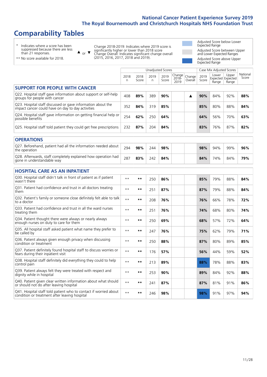### **Comparability Tables**

 $\blacktriangle$ 

\* Indicates where a score has been suppressed because there are less than 21 responses.

\*\* No score available for 2018.

or  $\blacktriangledown$ Change 2018-2019: Indicates where 2019 score is significantly higher or lower than 2018 score Change Overall: Indicates significant change overall (2015, 2016, 2017, 2018 and 2019).

Adjusted Score below Lower Expected Range Adjusted Score between Upper and Lower Expected Ranges Adjusted Score above Upper Expected Range

|                                                                                                                   |            |               | <b>Unadjusted Scores</b> |               |                         |                   | Case Mix Adjusted Scores |                |                                     |                   |
|-------------------------------------------------------------------------------------------------------------------|------------|---------------|--------------------------|---------------|-------------------------|-------------------|--------------------------|----------------|-------------------------------------|-------------------|
|                                                                                                                   | 2018<br>n. | 2018<br>Score | 2019<br>n                | 2019<br>Score | Change<br>2018-<br>2019 | Change<br>Overall | 2019<br>Score            | Lower<br>Range | Upper<br>Expected Expected<br>Range | National<br>Score |
| <b>SUPPORT FOR PEOPLE WITH CANCER</b>                                                                             |            |               |                          |               |                         |                   |                          |                |                                     |                   |
| Q22. Hospital staff gave information about support or self-help<br>groups for people with cancer                  | 408        | 89%           | 389                      | 90%           |                         | ▲                 | 90%                      | 84%            | 92%                                 | 88%               |
| Q23. Hospital staff discussed or gave information about the<br>impact cancer could have on day to day activities  | 352        | 84%           | 319                      | 85%           |                         |                   | 85%                      | 80%            | 88%                                 | 84%               |
| Q24. Hospital staff gave information on getting financial help or<br>possible benefits                            | 254        | 62%           | 250                      | 64%           |                         |                   | 64%                      | 56%            | 70%                                 | 63%               |
| Q25. Hospital staff told patient they could get free prescriptions                                                | 232        | 87%           | 204                      | 84%           |                         |                   | 83%                      | 76%            | 87%                                 | 82%               |
| <b>OPERATIONS</b>                                                                                                 |            |               |                          |               |                         |                   |                          |                |                                     |                   |
| Q27. Beforehand, patient had all the information needed about<br>the operation                                    | 294        | 98%           | 244                      | 98%           |                         |                   | 98%                      | 94%            | 99%                                 | 96%               |
| Q28. Afterwards, staff completely explained how operation had<br>gone in understandable way                       | 287        | 83%           | 242                      | 84%           |                         |                   | 84%                      | 74%            | 84%                                 | 79%               |
| <b>HOSPITAL CARE AS AN INPATIENT</b>                                                                              |            |               |                          |               |                         |                   |                          |                |                                     |                   |
| Q30. Hospital staff didn't talk in front of patient as if patient<br>wasn't there                                 | $* *$      | **            | 250                      | 86%           |                         |                   | 85%                      | 79%            | 88%                                 | 84%               |
| Q31. Patient had confidence and trust in all doctors treating<br>them                                             | $* *$      | $***$         | 251                      | 87%           |                         |                   | 87%                      | 79%            | 88%                                 | 84%               |
| Q32. Patient's family or someone close definitely felt able to talk<br>to a doctor                                | $* *$      | **            | 208                      | 76%           |                         |                   | 76%                      | 66%            | 78%                                 | 72%               |
| O33. Patient had confidence and trust in all the ward nurses<br>treating them                                     | $* *$      | **            | 251                      | 76%           |                         |                   | 74%                      | 68%            | 80%                                 | 74%               |
| Q34. Patient thought there were always or nearly always<br>enough nurses on duty to care for them                 | $* *$      | $***$         | 250                      | 69%           |                         |                   | 68%                      | 57%            | 72%                                 | 64%               |
| Q35. All hospital staff asked patient what name they prefer to<br>be called by                                    | $* *$      | $***$         | 247                      | 76%           |                         |                   | 75%                      | 62%            | 79%                                 | 71%               |
| Q36. Patient always given enough privacy when discussing<br>condition or treatment                                | $* *$      | **            | 250                      | 88%           |                         |                   | 87%                      | 80%            | 89%                                 | 85%               |
| Q37. Patient definitely found hospital staff to discuss worries or<br>fears during their inpatient visit          | $* *$      | $***$         | 176                      | 57%           |                         |                   | 56%                      | 44%            | 59%                                 | 52%               |
| Q38. Hospital staff definitely did everything they could to help<br>control pain                                  | $**$       | **            | 213                      | 89%           |                         |                   | 88%                      | 78%            | 88%                                 | 83%               |
| Q39. Patient always felt they were treated with respect and<br>dignity while in hospital                          | $* *$      | $***$         | 253                      | 90%           |                         |                   | 89%                      | 84%            | 92%                                 | 88%               |
| Q40. Patient given clear written information about what should<br>or should not do after leaving hospital         | $**$       | $***$         | 241                      | 87%           |                         |                   | 87%                      | 81%            | 91%                                 | 86%               |
| Q41. Hospital staff told patient who to contact if worried about<br>condition or treatment after leaving hospital | $* *$      | **            | 246                      | 98%           |                         |                   | 98%                      | 91%            | 97%                                 | 94%               |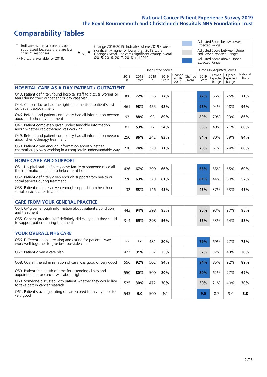## **Comparability Tables**

 $\blacktriangle$ 

\* Indicates where a score has been suppressed because there are less than 21 responses.

or  $\blacktriangledown$ Change 2018-2019: Indicates where 2019 score is significantly higher or lower than 2018 score Change Overall: Indicates significant change overall (2015, 2016, 2017, 2018 and 2019).

Adjusted Score below Lower Expected Range Adjusted Score between Upper and Lower Expected Ranges Adjusted Score above Upper Expected Range

\*\* No score available for 2018.

|                                                                                                                       |              |               | <b>Unadjusted Scores</b> |               |                            |                   |               | Case Mix Adjusted Scores |                                     |                   |
|-----------------------------------------------------------------------------------------------------------------------|--------------|---------------|--------------------------|---------------|----------------------------|-------------------|---------------|--------------------------|-------------------------------------|-------------------|
|                                                                                                                       | 2018<br>n    | 2018<br>Score | 2019<br>n                | 2019<br>Score | Change<br>$2018 -$<br>2019 | Change<br>Overall | 2019<br>Score | Lower<br>Range           | Upper<br>Expected Expected<br>Range | National<br>Score |
| <b>HOSPITAL CARE AS A DAY PATIENT / OUTPATIENT</b>                                                                    |              |               |                          |               |                            |                   |               |                          |                                     |                   |
| Q43. Patient definitely found hospital staff to discuss worries or<br>fears during their outpatient or day case visit | 380          | 72%           | 355                      | 77%           |                            |                   | 77%           | 66%                      | 75%                                 | 71%               |
| Q44. Cancer doctor had the right documents at patient's last<br>outpatient appointment                                | 461          | 98%           | 425                      | 98%           |                            |                   | 98%           | 94%                      | 98%                                 | 96%               |
| Q46. Beforehand patient completely had all information needed<br>about radiotherapy treatment                         | 93           | 88%           | 93                       | 89%           |                            |                   | 89%           | 79%                      | 93%                                 | 86%               |
| Q47. Patient completely given understandable information<br>about whether radiotherapy was working                    | 81           | 53%           | 72                       | 54%           |                            |                   | 55%           | 49%                      | 71%                                 | 60%               |
| Q49. Beforehand patient completely had all information needed<br>about chemotherapy treatment                         | 250          | 86%           | 242                      | 83%           |                            |                   | 84%           | 80%                      | 89%                                 | 84%               |
| Q50. Patient given enough information about whether<br>chemotherapy was working in a completely understandable way    | 230          | 74%           | 223                      | 71%           |                            |                   | 70%           | 61%                      | 74%                                 | 68%               |
| <b>HOME CARE AND SUPPORT</b>                                                                                          |              |               |                          |               |                            |                   |               |                          |                                     |                   |
| Q51. Hospital staff definitely gave family or someone close all<br>the information needed to help care at home        | 426          | 67%           | 399                      | 66%           |                            |                   | 66%           | 55%                      | 65%                                 | 60%               |
| Q52. Patient definitely given enough support from health or<br>social services during treatment                       | 278          | 63%           | 273                      | 61%           |                            |                   | 61%           | 44%                      | 60%                                 | 52%               |
| Q53. Patient definitely given enough support from health or<br>social services after treatment                        | 132          | 53%           | 146                      | 45%           |                            |                   | 45%           | 37%                      | 53%                                 | 45%               |
| <b>CARE FROM YOUR GENERAL PRACTICE</b>                                                                                |              |               |                          |               |                            |                   |               |                          |                                     |                   |
| Q54. GP given enough information about patient's condition<br>and treatment                                           | 443          | 94%           | 398                      | 95%           |                            |                   | 95%           | 93%                      | 97%                                 | 95%               |
| Q55. General practice staff definitely did everything they could<br>to support patient during treatment               | 314          | 65%           | 298                      | 56%           |                            |                   | 55%           | 53%                      | 64%                                 | 58%               |
| <b>YOUR OVERALL NHS CARE</b>                                                                                          |              |               |                          |               |                            |                   |               |                          |                                     |                   |
| Q56. Different people treating and caring for patient always<br>work well together to give best possible care         | $\star\star$ | $***$         | 481                      | 80%           |                            |                   | 79%           | 69%                      | 77%                                 | 73%               |
| Q57. Patient given a care plan                                                                                        | 427          | 31%           | 352                      | 35%           |                            |                   | 37%           | 32%                      | 43%                                 | 38%               |
| Q58. Overall the administration of care was good or very good                                                         | 556          | 92%           | 502                      | 94%           |                            |                   | 94%           | 85%                      | 92%                                 | 89%               |
| Q59. Patient felt length of time for attending clinics and<br>appointments for cancer was about right                 | 550          | 80%           | 500                      | 80%           |                            |                   | 80%           | 62%                      | 77%                                 | 69%               |
| Q60. Someone discussed with patient whether they would like<br>to take part in cancer research                        | 525          | 30%           | 472                      | 30%           |                            |                   | 30%           | 21%                      | 40%                                 | 30%               |
| Q61. Patient's average rating of care scored from very poor to<br>very good                                           | 543          | 9.0           | 500                      | 9.1           |                            |                   | 9.0           | 8.7                      | 9.0                                 | 8.8               |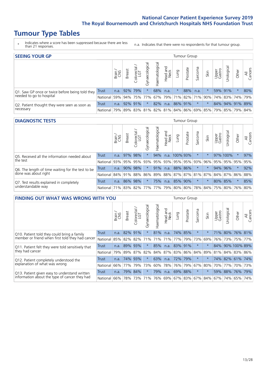### **Tumour Type Tables**

- \* Indicates where a score has been suppressed because there are less than 21 responses.
- n.a. Indicates that there were no respondents for that tumour group.

| <b>SEEING YOUR GP</b>                           |            |       |               |                    |              |                |                             |         |          | Tumour Group |                                                         |                 |                 |         |                |
|-------------------------------------------------|------------|-------|---------------|--------------------|--------------|----------------|-----------------------------|---------|----------|--------------|---------------------------------------------------------|-----------------|-----------------|---------|----------------|
|                                                 |            | Brain | <b>Breast</b> | Colorectal.<br>LGT | Gynaecologic | Haematological | Head and<br>Neck            | Lung    | Prostate | Sarcoma      | Skin                                                    | Upper<br>Gastro | Jrological      | Other   | All<br>Cancers |
| Q1. Saw GP once or twice before being told they | Trust      | n.a.  |               | 92% 79%            |              | 68%            | n.a.                        |         | 88%      | n.a.         |                                                         |                 | 59% 91%         | $\star$ | 80%            |
| needed to go to hospital                        | National   | 59%   |               | 94% 75% 77%        |              |                | 67%   79%   71%   82%   71% |         |          |              | 90% 74% 83% 74% 79%                                     |                 |                 |         |                |
| Q2. Patient thought they were seen as soon as   | Trust      | n.a.  |               | 92% 91%            | $\star$      | 82%            | n.a.                        | 86% 91% |          | $\star$      | $\star$                                                 |                 | 84% 94% 91% 89% |         |                |
| necessary                                       | National I |       |               |                    |              |                |                             |         |          |              | 79% 89% 83% 81% 82% 81% 84% 86% 69% 85% 79% 85% 79% 84% |                 |                 |         |                |

#### **DIAGNOSTIC TESTS** Tumour Group

|                                                   |                                                              | Brain | Breast  | ╮<br>Colorectal | Gynaecological | aematological | Head and<br>Neck | Lung        | Prostate | Sarcoma | Skin    | Upper<br>Gastro | Urological              | Other   | All<br>Cancers |
|---------------------------------------------------|--------------------------------------------------------------|-------|---------|-----------------|----------------|---------------|------------------|-------------|----------|---------|---------|-----------------|-------------------------|---------|----------------|
| Q5. Received all the information needed about     | Trust                                                        | n.a.  | 97% 98% |                 |                | 94%           | n.a.             | $100\%$ 93% |          | $\star$ |         |                 | 97% 100%                |         | 97%            |
| the test                                          | National                                                     | 93%   |         | 95% 95%         | 93%            |               | 95% 93% 95% 95%  |             |          |         | 93% 96% | 95%             | 95% 95%                 |         | 95%            |
| Q6. The length of time waiting for the test to be | Trust                                                        | n.a.  | 90% 98% |                 | $\star$        | 91%           | n.a.             |             | 88% 86%  | $\star$ | $\star$ |                 | 94% 96%                 | $\star$ | 92%            |
| done was about right                              | National 84% 91% 88% 86% 89% 88% 87% 87% 81% 87% 84% 87% 86% |       |         |                 |                |               |                  |             |          |         |         |                 |                         |         | 88%            |
| Q7. Test results explained in completely          | Trust                                                        | n.a.  | 86% 98% |                 | $\star$        | 75%           | n.a.             |             | 85% 90%  | $\star$ | $\star$ |                 | 80% 85%                 | $\star$ | 85%            |
| understandable way                                | National 71% 83% 82% 77% 77% 79% 80% 80%                     |       |         |                 |                |               |                  |             |          |         |         |                 | 78% 84% 75% 80% 76% 80% |         |                |

| <b>FINDING OUT WHAT WAS WRONG WITH YOU</b>             |              |       |               |                            |                |                 |                  |             | Tumour Group |         |         |                 |                 |              |                |
|--------------------------------------------------------|--------------|-------|---------------|----------------------------|----------------|-----------------|------------------|-------------|--------------|---------|---------|-----------------|-----------------|--------------|----------------|
|                                                        |              | Brain | <b>Breast</b> | ╮<br>olorectal<br>LGT<br>Ū | Gynaecological | Haematological  | Head and<br>Neck | Lung        | Prostate     | Sarcoma | Skin    | Upper<br>Gastro | Jrological      | Other        | All<br>Cancers |
| Q10. Patient told they could bring a family            | <b>Trust</b> | n.a.  | 82%           | 91%                        | $\star$        | 81%             | n.a.             | 74%         | 85%          | $\star$ |         | 71%             |                 | 80% 76% 81%  |                |
| member or friend when first told they had cancer       | National     | 85%   | 82%           | 82%                        | 71%            | 71%             | 71%              | 77%         | 79%          | 73%     | 69%     | 76%             | 73%             | 75%          | 77%            |
| Q11. Patient felt they were told sensitively that      | Trust        | n.a.  | 89%           | 93%                        | $\star$        | 85%             | n.a.             | 83% 91%     |              | $\star$ | $\star$ | 84%             |                 | 90% 100% 89% |                |
| they had cancer                                        | National     | 79%   |               | 89% 87%                    | 82%            | 84% 87% 83% 86% |                  |             |              | 84%     | 89%     |                 | 81% 84% 83% 86% |              |                |
| Q12. Patient completely understood the                 | Trust        | n.a.  | 74%           | 93%                        | $\star$        | 63%             | n.a.             | 72% 79%     |              | $\star$ |         |                 | 74% 82% 61% 74% |              |                |
| explanation of what was wrong                          | National     | 66%   | 77%           | 79%                        | 73%            | 60%             | 78%              | 76%         | 79%          | 67%     | 80%     |                 | 70% 77%         | 70% 73%      |                |
| Trust<br>Q13. Patient given easy to understand written |              | n.a.  |               | 79% 84%                    | $\star$        | 79%             | n.a.             | 69%         | 88%          | $\star$ | $\star$ | 59%             | 88%             | 76%          | 79%            |
| information about the type of cancer they had          | National     | 66%   | 78%           | 73%                        | 71%            | 76%             |                  | 69% 67% 83% |              | 67%     | 84%     |                 | 67% 74%         | 65%          | 74%            |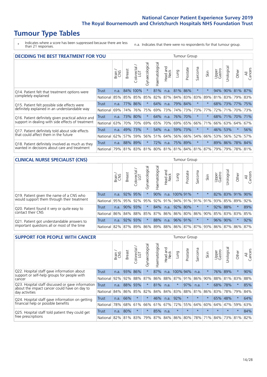### **Tumour Type Tables**

\* Indicates where a score has been suppressed because there are less than 21 responses.

n.a. Indicates that there were no respondents for that tumour group.

|                                                    | <b>DECIDING THE BEST TREATMENT FOR YOU</b> |       |               |                       |                |                |                        |         |          |                             |         |                 |            |                 |                |
|----------------------------------------------------|--------------------------------------------|-------|---------------|-----------------------|----------------|----------------|------------------------|---------|----------|-----------------------------|---------|-----------------|------------|-----------------|----------------|
|                                                    |                                            | Brain | <b>Breast</b> | olorectal<br>LGT<br>Ũ | Gynaecological | Haematological | ad and<br>Neck<br>Head | Lung    | Prostate | Sarcoma                     | Skin    | Upper<br>Gastro | Jrological | Other           | All<br>Cancers |
| Q14. Patient felt that treatment options were      | <b>Trust</b>                               | n.a.  |               | 84% 100%              | $\star$        | 81%            | n.a.                   | 81%     | 86%      | $\star$                     |         | 94%             |            | 90% 81%         | 87%            |
| completely explained                               | National                                   | 85%   | 85%           | 85%                   | 85%            |                | 82% 87%                |         | 84% 83%  | 83%                         | 89%     | 81%             |            | 83% 79% 83%     |                |
| Q15. Patient felt possible side effects were       | Trust                                      | n.a.  | 77%           | 86%                   |                | 64%            | n.a.                   |         | 79% 84%  | $^\star$                    |         | 68%             | 73%        | $77\%$          | 75%            |
| definitely explained in an understandable way      | National                                   | 69%   | 74%           | 76%                   | 75%            | 69%            | 73%                    |         | 74% 73%  | 73%                         | 77%     | 72%             | 71%        | 70%             | 73%            |
| Q16. Patient definitely given practical advice and | Trust                                      | n.a.  | 73%           | 80%                   | $\star$        | 64%            | n.a.                   |         | 76% 70%  | $^\star$                    |         | 68%             | 71% 70%    |                 | 171%           |
| support in dealing with side effects of treatment  | National                                   | 63%   | 70%           | 70%                   | 69%            | 65%            | 70%                    |         | 69% 65%  | 66%                         | 71%     | 66%             |            | 63% 64%         | 67%            |
| Q17. Patient definitely told about side effects    | Trust                                      | n.a.  | 49%           | 173%                  | $\star$        | 54%            | n.a.                   |         | 59% 73%  | $\ast$                      | $\star$ | 46%             | 53%        | $\star$         | 56%            |
| that could affect them in the future               | National                                   | 62%   | 57%           | 59%                   | 56%            | 51%            | 64%                    | 56%     | 66%      | 54%                         | 66%     | 53%             |            | 56% 52%         | 57%            |
| Q18. Patient definitely involved as much as they   | Trust                                      | n.a.  | 88%           | 89%                   | $\star$        | 72%            | n.a.                   | 75% 89% |          | $\star$                     | $\star$ |                 |            | 89% 86% 78% 84% |                |
| wanted in decisions about care and treatment       | National                                   | 79%   |               | 81% 83%               |                |                |                        |         |          | 81% 80% 81% 81% 84% 81% 87% |         | 79%             | 79%        | 78% 81%         |                |

#### **CLINICAL NURSE SPECIALIST (CNS)** Tumour Group

|                                             |              | Brain | <b>Breast</b> | olorectal<br>LGT<br>Ü | $\overline{\sigma}$<br>aecologic<br>Ğ | Haematological | Head and<br>Neck | Lung     | Prostate        | Sarcoma                     | Skin                    | Upper<br>Gastro | Jrological      | Other   | All<br>Cancers |
|---------------------------------------------|--------------|-------|---------------|-----------------------|---------------------------------------|----------------|------------------|----------|-----------------|-----------------------------|-------------------------|-----------------|-----------------|---------|----------------|
| Q19. Patient given the name of a CNS who    | <b>Trust</b> | n.a.  |               | 92% 95%               |                                       | 90%            | n.a.             | 100% 91% |                 | $^\star$                    |                         |                 | 82% 83% 91% 90% |         |                |
| would support them through their treatment  | National     | 95%   |               | 95% 92%               | 95%                                   |                |                  |          |                 | 92% 91% 94% 91% 91% 91% 91% |                         | 93%             | 85% 89%         |         | 92%            |
| Q20. Patient found it very or quite easy to | <b>Trust</b> | n.a.  |               | 90% 93%               |                                       | 84%            | n.a.             | 92% 80%  |                 | $\ast$                      |                         |                 | 92% 88%         | $\star$ | 89%            |
| contact their CNS                           | National     | 86%   | 84%           | 88%                   | 85%                                   |                |                  |          | 87% 86% 86% 80% | 86%                         | 90%                     |                 | 85% 83% 83%     |         | 85%            |
| Q21. Patient got understandable answers to  | <b>Trust</b> | n.a.  | 92% 93%       |                       |                                       | 88%            | n.a.             |          | 96% 91%         | $\star$                     |                         | 96%             | 90%             | $\star$ | 92%            |
| important questions all or most of the time | National     |       | 82% 87%       | 89%                   | 86%                                   |                |                  |          |                 |                             | 89% 88% 86% 87% 87% 93% |                 | 86% 87% 86% 87% |         |                |

| <b>SUPPORT FOR PEOPLE WITH CANCER</b>                                                             |              |       |               |                            |                |                                 |                        |          | <b>Tumour Group</b> |              |         |                 |            |             |                |
|---------------------------------------------------------------------------------------------------|--------------|-------|---------------|----------------------------|----------------|---------------------------------|------------------------|----------|---------------------|--------------|---------|-----------------|------------|-------------|----------------|
|                                                                                                   |              | Brain | <b>Breast</b> | olorectal<br>LGT<br>$\cup$ | Gynaecological | Haematological                  | ad and<br>Neck<br>Head | Dung     | Prostate            | arcoma<br>ιñ | Skin    | Upper<br>Gastro | Urological | Other       | All<br>Cancers |
| Q22. Hospital staff gave information about                                                        | <b>Trust</b> | n.a.  | 93%           | 86%                        | $\star$        | 87%                             | n.a.                   | 100% 94% |                     | n.a.         |         | 76%             | 89%        | $\star$     | 90%            |
| support or self-help groups for people with<br>cancer                                             | National     | 92%   | 92%           | 88%                        | 87%            | 86%                             | 88% 87% 91%            |          |                     | 86%          | 90%     | 88%             | 81%        | 83%         | 88%            |
| Q23. Hospital staff discussed or gave information<br>about the impact cancer could have on day to | Trust        | n.a.  |               | 88% 93%                    | $\star$        | 81%                             | n.a.                   | $\star$  | 97%                 | n.a.         | $\star$ | 68%             | 78%        | $\star$     | 85%            |
| day activities                                                                                    | National     | 84%   |               | 86% 85%                    | 82%            | 84%                             | 84%                    | 83%      | 88%                 | 81%          | 86%     | 83%             | 78%        | 79%         | 84%            |
| Q24. Hospital staff gave information on getting                                                   | Trust        | n.a.  | 66%           |                            | $\star$        | 46%                             | n.a.                   | 92%      | $\star$             | $\star$      |         |                 | 65% 48%    | $\star$     | 64%            |
| financial help or possible benefits                                                               | National     | 78%   |               | 68% 61%                    | 66%            |                                 | 61% 67%                |          | 72% 55%             | 64%          | 60%     | 64%             | 47%        | 59%         | 63%            |
| Q25. Hospital staff told patient they could get                                                   | Trust        | n.a.  | 80%           | $\star$                    | $\star$        | 85%                             | n.a.                   | $\star$  | $\star$             | $\star$      | $\star$ | $\star$         | $\star$    | $\star$     | 84%            |
| free prescriptions                                                                                | National     |       |               |                            |                | 82% 81% 83% 79% 87% 84% 86% 80% |                        |          |                     |              |         | 78% 71% 84%     |            | 73% 81% 82% |                |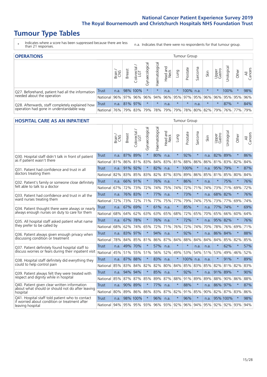# **Tumour Type Tables**

- \* Indicates where a score has been suppressed because there are less than 21 responses.
- n.a. Indicates that there were no respondents for that tumour group.

| <b>OPERATIONS</b>                                                                           |            |       |               |            |                    |                |                  | Tumour Group |             |         |         |                 |                                                  |         |                |
|---------------------------------------------------------------------------------------------|------------|-------|---------------|------------|--------------------|----------------|------------------|--------------|-------------|---------|---------|-----------------|--------------------------------------------------|---------|----------------|
|                                                                                             |            | Brain | <b>Breast</b> | Colorectal | ᠊ᢛ<br>Gynaecologic | Haematological | Head and<br>Neck | <b>Lung</b>  | Prostate    | Sarcoma | Skin    | Upper<br>Gastro | Irological                                       | Other   | All<br>Cancers |
| Q27. Beforehand, patient had all the information                                            | Trust      | n.a.  |               | 98% 100%   |                    |                | n.a.             |              | 100%        | n.a.    | $\star$ |                 | 100%                                             |         | 98%            |
| needed about the operation                                                                  | National   |       | 96% 97%       | 96%        | 96%                | 94%            |                  |              | 96% 95% 97% | 95%     | 96%     |                 | 96% 95% 95%                                      |         | 96%            |
| Q28. Afterwards, staff completely explained how<br>operation had gone in understandable way | Trust      | n.a.  |               | 81% 97%    | $\star$            | $\star$        | n.a.             | $\star$      | $\star$     | n.a.    | $\star$ | $\star$         | 87%                                              | $\star$ | 84%            |
|                                                                                             | National I | 76%   |               | 79% 83%    |                    |                |                  |              |             |         |         |                 | 79%  78%  79%  79%  78%  80%  82%  79%  76%  77% |         | 79%            |

#### **HOSPITAL CARE AS AN INPATIENT** Tumour Group

|                                                                                                  |              | Brain | <b>Breast</b> | $\frac{\text{Colored}}{\text{LGT}}$ | Gynaecological | Haematological | Head and<br><b>Neck</b> | Lung    | Prostate        | Sarcoma | Skin | Upper<br>Gastro | Urological  | Other   | All<br>Cancers |
|--------------------------------------------------------------------------------------------------|--------------|-------|---------------|-------------------------------------|----------------|----------------|-------------------------|---------|-----------------|---------|------|-----------------|-------------|---------|----------------|
| Q30. Hospital staff didn't talk in front of patient                                              | <b>Trust</b> | n.a.  | 87%           | 89%                                 | $\star$        | 80%            | n.a.                    | $\star$ | 92%             | $\star$ | n.a. | 82%             | 89%         | $\star$ | 86%            |
| as if patient wasn't there                                                                       | National     | 81%   | 86%           | 81%                                 | 83%            | 84%            | 83%                     | 81%     | 88%             | 86%     | 86%  | 81%             | 83% 82%     |         | 84%            |
| 031. Patient had confidence and trust in all                                                     | <b>Trust</b> | n.a.  | 91% 92%       |                                     | $\star$        | 82%            | n.a.                    | $\star$ | 100%            | $\star$ | n.a. | 95% 79%         |             | $\star$ | 87%            |
| doctors treating them                                                                            | National     | 82%   | 83%           | 85%                                 | 83%            | 82%            | 87%                     | 83%     | 89%             | 86%     | 85%  | 81%             | 85%         | 80%     | 84%            |
| Q32. Patient's family or someone close definitely                                                | Trust        | n.a.  | 66% 91%       |                                     |                | 76%            | n.a.                    | $\star$ | 86%             | $\star$ | n.a. | $\star$         | 75%         | $\star$ | 76%            |
| felt able to talk to a doctor                                                                    | National     | 67%   | 72%           | 73%                                 | 72%            | 74%            | 75%                     | 74%     | 72%             | 71%     | 74%  | 73%             | 71%         | 69%     | 72%            |
| Q33. Patient had confidence and trust in all the                                                 | <b>Trust</b> | n.a.  | 76%           | 83%                                 |                | 77%            | n.a.                    | $\star$ | 73%             | $\star$ | n.a. | 68% 82%         |             | $\star$ | 76%            |
| ward nurses treating them                                                                        | National     | 72%   | 73%           | 72%                                 | 71%            | 77%            | 75%                     | 77%     | 79%             | 74%     | 75%  |                 | 73% 77%     | 69%     | 74%            |
| Q34. Patient thought there were always or nearly                                                 | <b>Trust</b> | n.a.  | 67%           | 69%                                 | $\star$        | 61%            | n.a.                    | $\star$ | 85%             | $\star$ | n.a. | 77%             | 74%         | $\star$ | 69%            |
| always enough nurses on duty to care for them                                                    | National     | 68%   | 64%           | 62%                                 | 63%            |                | 63% 65% 68%             |         | 72%             | 65%     | 70%  |                 | 65% 66% 60% |         | 64%            |
| Q35. All hospital staff asked patient what name                                                  | Trust        | n.a.  | 67% 78%       |                                     | $\star$        | 76%            | n.a.                    | $\star$ | 72%             | $\star$ | n.a. | 95% 82%         |             | $\star$ | 76%            |
| they prefer to be called by                                                                      | National     | 68%   | 62%           | 74%                                 | 65%            | 72%            | 71%                     | 76%     | 72%             | 74%     | 70%  | 78%             | 76%         | 69%     | 71%            |
| Q36. Patient always given enough privacy when                                                    | Trust        | n.a.  | 83%           | 97%                                 |                | 94%            | n.a.                    | $\star$ | 92%             | $\star$ | n.a. | 86% 84%         |             | $\star$ | 88%            |
| discussing condition or treatment                                                                | National     | 78%   |               | 84% 85%                             | 81%            | 86%            |                         | 87% 84% | 88%             | 84%     |      | 84% 84%         | 85%         | 82%     | 85%            |
| Q37. Patient definitely found hospital staff to                                                  | <b>Trust</b> | n.a.  | 49%           | 70%                                 |                | 57%            | n.a.                    | $\star$ | $\star$         | n.a.    | n.a. | $\star$         | 62%         | $\star$ | 57%            |
| discuss worries or fears during their inpatient visit                                            | National     | 45%   | 51%           | 55%                                 | 51%            | 56%            | 52%                     | 49%     | 53%             | 54%     | 51%  | 53%             | 49%         | 46%     | 52%            |
| Q38. Hospital staff definitely did everything they                                               | Trust        |       | n.a. 87%      | 88%                                 | $\star$        | 83%            | n.a.                    | $\star$ | 100% n.a.       |         | n.a. | $\star$         | 91%         | $\star$ | 89%            |
| could to help control pain                                                                       | National     | 85%   |               | 83% 84% 82%                         |                |                |                         |         | 82% 80% 84% 85% | 83%     |      | 85% 82% 81% 82% |             |         | 83%            |
| Q39. Patient always felt they were treated with                                                  | Trust        | n.a.  | 94%           | 94%                                 | $\star$        | 85%            | n.a.                    | $\star$ | 92%             | $\star$ | n.a. | 91% 89%         |             | $\star$ | 90%            |
| respect and dignity while in hospital                                                            | National     | 85%   | 87%           | 87%                                 | 85%            | 89%            | 87%                     | 88%     | 91%             | 89%     | 89%  | 88%             | 90%         | 86%     | 88%            |
| Q40. Patient given clear written information<br>about what should or should not do after leaving | <b>Trust</b> | n.a.  | 90% 89%       |                                     | $\star$        | 77%            | n.a.                    | $\star$ | 88%             | $\star$ | n.a. | 86% 97%         |             | $\star$ | 87%            |
| hospital                                                                                         | National     | 80%   | 89%           | 86%                                 | 86%            | 83%            |                         | 87% 82% | 91%             | 85%     | 90%  | 82% 87%         |             | 83%     | 86%            |
| Q41. Hospital staff told patient who to contact<br>if worried about condition or treatment after | <b>Trust</b> | n.a.  |               | 98% 100%                            |                | 96%            | n.a.                    | $\star$ | 96%             | $\star$ | n.a. |                 | 95% 100%    | $\star$ | 98%            |
| leaving hospital                                                                                 | National     | 94%   |               | 95% 95% 93%                         |                |                | 96% 93% 92%             |         | 96%             | 94%     | 95%  |                 | 92% 92% 93% |         | 94%            |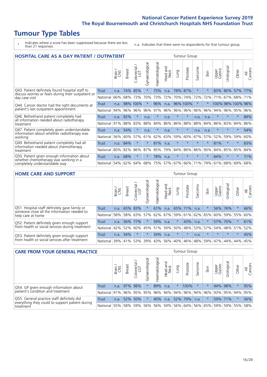# **Tumour Type Tables**

\* Indicates where a score has been suppressed because there are less than 21 responses.

n.a. Indicates that there were no respondents for that tumour group.

| HOSPITAL CARE AS A DAY PATIENT / OUTPATIENT                                                |          |       |               |                          |                |                |                        |         | Tumour Group |                      |         |                 |            |                   |                |
|--------------------------------------------------------------------------------------------|----------|-------|---------------|--------------------------|----------------|----------------|------------------------|---------|--------------|----------------------|---------|-----------------|------------|-------------------|----------------|
|                                                                                            |          | Brain | <b>Breast</b> | ╮<br>Colorectal /<br>LGT | Gynaecological | Haematological | ad and<br>Neck<br>Head | Lung    | Prostate     | arcoma<br>$\sqrt{ }$ | Skin    | Upper<br>Gastro | Urological | Other             | All<br>Cancers |
| Q43. Patient definitely found hospital staff to                                            | Trust    | n.a.  | 74%           | 85%                      | $^\star$       | 75%            | n.a.                   | 78%     | 87%          | $\star$              |         | 83%             | 80%        | 57%               | 77%            |
| discuss worries or fears during their outpatient or<br>day case visit                      | National | 66%   | 68%           | 73%                      | 70%            | 73%            | 72%                    | 70%     | 74%          | 72%                  | 72%     | 71%             | 67%        | 68%               | 71%            |
| Q44. Cancer doctor had the right documents at                                              | Trust    | n.a.  |               | 98% 100%                 |                | 96%            | n.a.                   |         | 96% 100%     | $\star$              |         |                 |            | 100% 98% 100% 98% |                |
| patient's last outpatient appointment                                                      | National | 94%   | 96%           | 96%                      | 96%            | 97%            | 96%                    | 96% 96% |              | 96%                  | 96%     | 94%             | 96%        | 95%               | 96%            |
| Q46. Beforehand patient completely had                                                     | Trust    | n.a.  | 92%           | $\star$                  | n.a.           | $\star$        | n.a.                   | $\star$ | $\star$      | n.a.                 | n.a.    | $\star$         | $\star$    | $\star$           | 89%            |
| all information needed about radiotherapy<br>treatment                                     | National | 91%   | 88%           | 83%                      | 88%            | 84%            | 86%                    | 86%     | 88%          | 88%                  | 84%     | 86%             | 83%        | 84%               | 86%            |
| Q47. Patient completely given understandable<br>information about whether radiotherapy was | Trust    | n.a.  | 54%           | $\star$                  | n.a.           | $\ast$         | n.a.                   | $\star$ | $\star$      | n.a.                 | n.a.    | $\star$         | $\star$    | $\star$           | 54%            |
| working                                                                                    | National | 56%   | 60%           | 57%                      | 61%            | 62%            | 63%                    | 59%     | 60%          | 67%                  | 57%     | 52%             | 59%        | 59%               | 60%            |
| Q49. Beforehand patient completely had all                                                 | Trust    | n.a.  | 84%           | $\star$                  | $\star$        | 81%            | n.a.                   | $\star$ | $\star$      | $\star$              | $\star$ | 81%             | $\star$    | $\star$           | 83%            |
| information needed about chemotherapy<br>treatment                                         | National | 80%   | 82%           | 86%                      | 87%            | 85%            | 79%                    | 84%     | 86%          | 86%                  | 90%     | 84%             | 85%        | 85%               | 84%            |
| Q50. Patient given enough information about<br>whether chemotherapy was working in a       | Trust    | n.a.  | 68%           | $\star$                  | $\star$        | 78%            | n.a.                   | $\star$ | $\star$      | $\star$              | $\star$ | 64%             | $\star$    | $\star$           | 71%            |
| completely understandable way                                                              | National | 54%   | 62%           | 64%                      | 68%            | 75%            |                        | 57% 67% | 66%          | 71%                  | 79%     | 61%             | 68%        | 69%               | 68%            |

#### **HOME CARE AND SUPPORT** Tumour Group

|                                                                                              |              | Brain | Breast  | Colorectal<br>LGT | ᢛ<br>Gynaecologic | Haematological | Head and<br>Neck | Dung            | Prostate | Sarcoma | Skin    | Upper<br>Gastro | Urological  | Other   | All<br>Cancers |
|----------------------------------------------------------------------------------------------|--------------|-------|---------|-------------------|-------------------|----------------|------------------|-----------------|----------|---------|---------|-----------------|-------------|---------|----------------|
| Q51. Hospital staff definitely gave family or<br>someone close all the information needed to | <b>Trust</b> | n.a.  | 65% 83% |                   |                   | 61%            | n.a.             | 65% 71%         |          | n.a.    |         |                 | 56% 76%     | $\ast$  | 66%            |
| help care at home                                                                            | National     | 58%   |         | 58% 63%           | 57%               |                |                  | 62% 67% 59% 61% |          |         | 62% 65% |                 | 60% 59% 55% |         | 60%            |
| Q52. Patient definitely given enough support                                                 | Trust        | n.a.  | 56% 77% |                   | $\star$           | 59%            | n.a.             | $\star$         | 43%      | n.a.    |         |                 | 57% 70%     | $\star$ | 61%            |
| from health or social services during treatment                                              | National     | 42%   | 52%     | 60%               |                   | 45% 51%        | 59%              | 50%             | 48%      |         | 53% 57% |                 | 54% 48% 51% |         | 52%            |
| Q53. Patient definitely given enough support                                                 | Trust        | n.a.  | 34%     |                   |                   | 34%            | n.a.             | $\star$         | $\star$  | n.a.    |         | $\star$         | $\star$     | $\star$ | 45%            |
| from health or social services after treatment                                               | National     | 39%   | 41% 53% |                   | 39%               | $ 43\% $       | 56%              | 40%             | 46%      | 48%     | 59%     | 47%             | 44%         | 44%     | 45%            |

| <b>CARE FROM YOUR GENERAL PRACTICE</b>                                                                 |              |        |               |                        |               |                |                  |          | <b>Tumour Group</b>                 |         |      |                 |                       |         |                |
|--------------------------------------------------------------------------------------------------------|--------------|--------|---------------|------------------------|---------------|----------------|------------------|----------|-------------------------------------|---------|------|-----------------|-----------------------|---------|----------------|
|                                                                                                        |              | Brain, | <b>Breast</b> | ╮<br>Colorectal<br>LGT | Gynaecologica | Haematological | Head and<br>Neck | Lung     | Prostate                            | Sarcoma | Skin | Upper<br>Gastro | $\sigma$<br>Urologica | Other   | All<br>Cancers |
| Q54. GP given enough information about                                                                 | Trust        | n.a.   |               | 97% 98%                |               | 89%            | n.a.             | $^\star$ | 100%                                | $\star$ |      |                 | 94% 98%               |         | 95%            |
| patient's condition and treatment                                                                      | National 91% |        |               | 96% 95%                | 95%           |                |                  |          | 96% 94% 94% 96% 94% 96%             |         |      |                 | 93% 95% 94%           |         | 95%            |
| Q55. General practice staff definitely did<br>Trust<br>everything they could to support patient during |              | n.a.   |               | 52% 50%                |               | 40%            | n.a.             |          | 52% 79%                             | n.a.    |      |                 | 59% 71%               | $\star$ | 56%            |
| treatment                                                                                              | National 55% |        |               |                        | 58% 59% 56%   |                |                  |          | 56% 59% 56% 64% 56% 65% 59% 59% 55% |         |      |                 |                       |         | 58%            |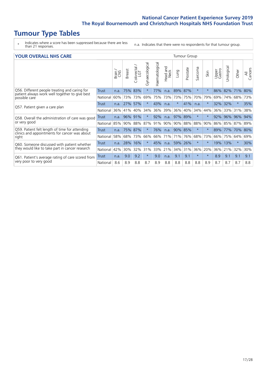### **Tumour Type Tables**

- \* Indicates where a score has been suppressed because there are less than 21 responses.
- n.a. Indicates that there were no respondents for that tumour group.

| <b>YOUR OVERALL NHS CARE</b> |  |
|------------------------------|--|
|------------------------------|--|

| <b>YOUR OVERALL NHS CARE</b>                                     |              |       |               |                     |                |                | Tumour Group           |          |          |                      |          |                 |               |          |                |
|------------------------------------------------------------------|--------------|-------|---------------|---------------------|----------------|----------------|------------------------|----------|----------|----------------------|----------|-----------------|---------------|----------|----------------|
|                                                                  |              | Brain | <b>Breast</b> | Colorectal /<br>LGT | Gynaecological | Haematological | and<br>Head an<br>Neck | Lung     | Prostate | arcoma<br>$\sqrt{ }$ | Skin     | Upper<br>Gastro | ී<br>Urologic | Other    | All<br>Cancers |
| Q56. Different people treating and caring for                    | <b>Trust</b> | n.a.  | 75%           | 83%                 |                | 77%            | n.a.                   | 89%      | 87%      | $\star$              | $\star$  | 86%             | 82%           | 71%      | 80%            |
| patient always work well together to give best<br>possible care  | National     | 60%   | 73%           | 73%                 | 69%            | 75%            | 73%                    | 73%      | 75%      | 70%                  | 79%      | 69%             | 74%           | 68%      | 73%            |
| Q57. Patient given a care plan                                   | <b>Trust</b> | n.a.  | 27% 57%       |                     |                | 43%            | n.a.                   | $^\star$ | 41%      | n.a.                 | $\star$  | 32%             | 32%           | $\ast$   | 35%            |
|                                                                  | National     | 36%   | 41%           | 40%                 | 34%            | 36%            | 39%                    | 36%      | 40%      | 34%                  | 44%      | 36%             | 33%           | 31%      | 38%            |
| Q58. Overall the administration of care was good<br>or very good | Trust        | n.a.  | 96%           | 91%                 |                | 92%            | n.a.                   | 97%      | 89%      | $\star$              | $\star$  | 92%             | 96%           | 96%      | 94%            |
|                                                                  | National     | 85%   | 90%           | 88%                 | 87%            | 91%            | 90%                    | 90%      | 88%      | 88%                  | 90%      | 86%             | 85%           | 87%      | 89%            |
| Q59. Patient felt length of time for attending                   | <b>Trust</b> | n.a.  | 75%           | 87%                 |                | 76%            | n.a.                   | 90% 85%  |          | $\star$              | $^\star$ | 89%             | 77%           | 70%      | 80%            |
| clinics and appointments for cancer was about<br>right           | National     | 58%   |               | 68% 73%             | 66%            | 66%            | 71%                    |          | 71% 76%  | 68%                  | 73%      | 66%             | 75%           | 64%      | 69%            |
| Q60. Someone discussed with patient whether                      | Trust        | n.a.  | 28%           | 16%                 |                | 45%            | n.a.                   | 59% 26%  |          | $\star$              | $\star$  | 19%             | 13%           | $^\star$ | 30%            |
| they would like to take part in cancer research                  | National     | 42%   | 30%           | 32%                 | 31%            | 33%            | 21%                    | 34%      | 31%      | 36%                  | 20%      | 36%             | 21%           | 32%      | 30%            |
| Q61. Patient's average rating of care scored from                | Trust        | n.a.  | 9.0           | 9.2                 | $\star$        | 9.0            | n.a.                   | 9.1      | 9.1      | $\star$              | $\star$  | 8.9             | 9.1           | 9.1      | 9.1            |
| very poor to very good                                           | National     | 8.6   | 8.9           | 8.8                 | 8.7            | 8.9            | 8.8                    | 8.8      | 8.8      | 8.8                  | 8.9      | 8.7             | 8.7           | 8.7      | 8.8            |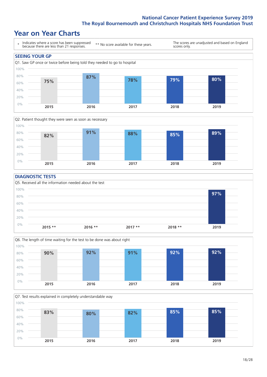### **Year on Year Charts**





#### **DIAGNOSTIC TESTS**





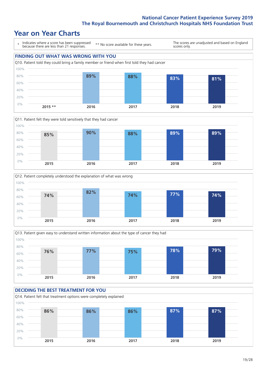### **Year on Year Charts**

\* Indicates where a score has been suppressed because there are less than 21 responses. \*\* No score available for these years. The scores are unadjusted and based on England scores only. **FINDING OUT WHAT WAS WRONG WITH YOU** Q10. Patient told they could bring a family member or friend when first told they had cancer









#### **DECIDING THE BEST TREATMENT FOR YOU** Q14. Patient felt that treatment options were completely explained 0% 20% 40% 60% 80% 100% **2015 2016 2017 2018 2019 86% 86% 86% 87% 87%**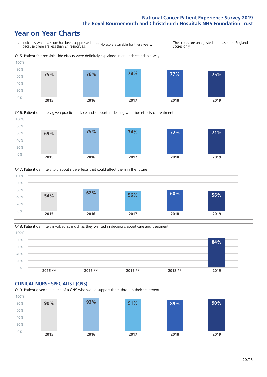### **Year on Year Charts**

\* Indicates where a score has been suppressed because there are less than 21 responses. \*\* No score available for these years. The scores are unadjusted and based on England scores only. Q15. Patient felt possible side effects were definitely explained in an understandable way 0% 20% 40% 60% 80% 100% **2015 2016 2017 2018 2019 75% 76% 78% 77% 75%**







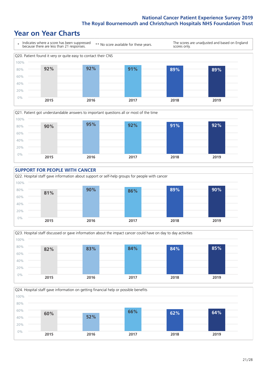### **Year on Year Charts**









Q24. Hospital staff gave information on getting financial help or possible benefits 0% 20% 40% 60% 80% 100% **2015 2016 2017 2018 2019 60% 52% 66% 62% 64%**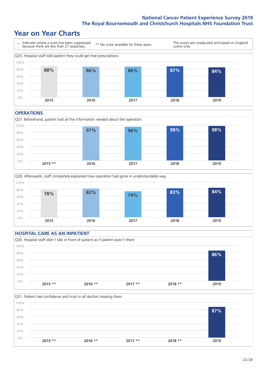### **Year on Year Charts**



#### **OPERATIONS**

Q27. Beforehand, patient had all the information needed about the operation  $0%$ 20% 40% 60% 80% 100% **2015 \*\* 2016 2017 2018 2019 97% 96% 98% 98%**





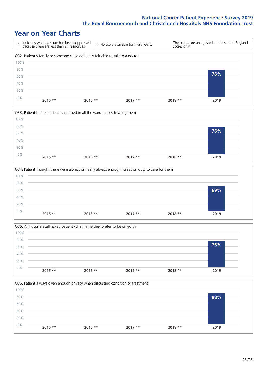### **Year on Year Charts**









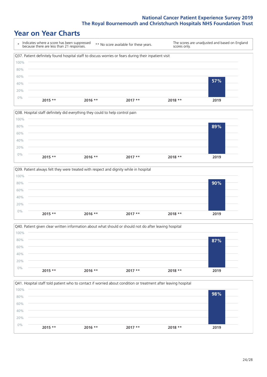### **Year on Year Charts**

| $\star$ | Indicates where a score has been suppressed<br>because there are less than 21 responses.              | ** No score available for these years. |          | scores only. | The scores are unadjusted and based on England |
|---------|-------------------------------------------------------------------------------------------------------|----------------------------------------|----------|--------------|------------------------------------------------|
|         | Q37. Patient definitely found hospital staff to discuss worries or fears during their inpatient visit |                                        |          |              |                                                |
| 100%    |                                                                                                       |                                        |          |              |                                                |
| 80%     |                                                                                                       |                                        |          |              |                                                |
| 60%     |                                                                                                       |                                        |          |              |                                                |
| 40%     |                                                                                                       |                                        |          |              | 57%                                            |
| 20%     |                                                                                                       |                                        |          |              |                                                |
| $0\%$   |                                                                                                       |                                        |          |              |                                                |
|         | $2015$ **<br>$2016$ **                                                                                |                                        | $2017**$ | 2018 **      | 2019                                           |







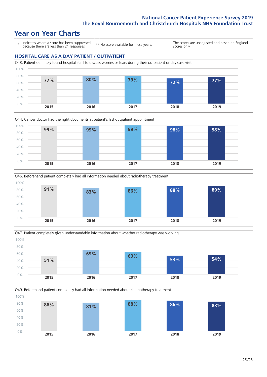### **Year on Year Charts**

\* Indicates where a score has been suppressed because there are less than 21 responses.

\*\* No score available for these years.

The scores are unadjusted and based on England scores only.









Q49. Beforehand patient completely had all information needed about chemotherapy treatment 0% 20% 40% 60% 80% 100% **2015 2016 2017 2018 2019 86% 81% 88% 86% 83%**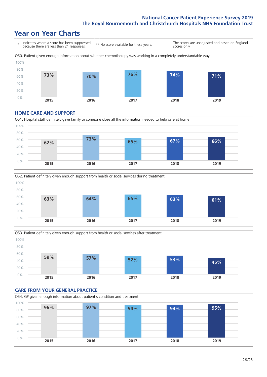### **Year on Year Charts**

\* Indicates where a score has been suppressed because there are less than 21 responses. \*\* No score available for these years. The scores are unadjusted and based on England scores only. Q50. Patient given enough information about whether chemotherapy was working in a completely understandable way 0% 20% 40% 60% 80% 100% **2015 2016 2017 2018 2019 73% 70% 76% 74% 71%**

#### **HOME CARE AND SUPPORT**







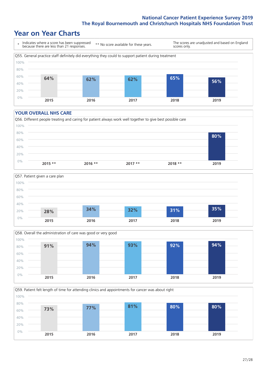### **Year on Year Charts**

\* Indicates where a score has been suppressed because there are less than 21 responses. \*\* No score available for these years. The scores are unadjusted and based on England scores only. Q55. General practice staff definitely did everything they could to support patient during treatment 0% 20% 40% 60% 80% 100% **2015 2016 2017 2018 2019 64% 62% 62% 65% 56%**

#### **YOUR OVERALL NHS CARE**







Q59. Patient felt length of time for attending clinics and appointments for cancer was about right 0% 20% 40% 60% 80% 100% **2015 2016 2017 2018 2019 73% 77% 81% 80% 80%**